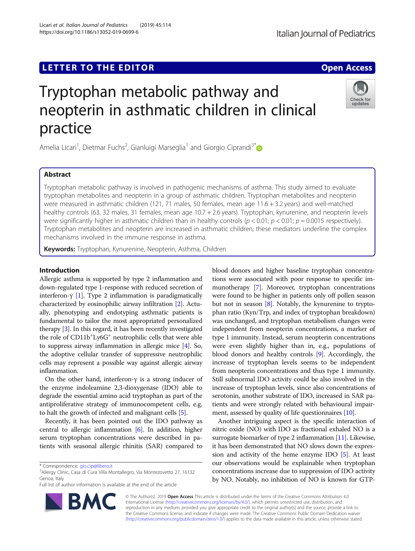# **LETTER TO THE EDITOR CONSIDERING ACCESS**

# Tryptophan metabolic pathway and neopterin in asthmatic children in clinical practice

Amelia Licari<sup>1</sup>, Dietmar Fuchs<sup>2</sup>, Gianluigi Marseglia<sup>1</sup> and Giorgio Ciprandi<sup>3\*</sup>

# Abstract

Tryptophan metabolic pathway is involved in pathogenic mechanisms of asthma. This study aimed to evaluate tryptophan metabolites and neopterin in a group of asthmatic children. Tryptophan metabolites and neopterin were measured in asthmatic children (121, 71 males, 50 females, mean age 11.6 + 3.2 years) and well-matched healthy controls (63, 32 males, 31 females, mean age 10.7 + 2.6 years). Tryptophan, kynurenine, and neopterin levels were significantly higher in asthmatic children than in healthy controls  $(p < 0.01; p < 0.01; p = 0.0015$  respectively). Tryptophan metabolites and neopterin are increased in asthmatic children; these mediators underline the complex mechanisms involved in the immune response in asthma.

Keywords: Tryptophan, Kynurenine, Neopterin, Asthma, Children

# Introduction

Allergic asthma is supported by type 2 inflammation and down-regulated type 1-response with reduced secretion of interferon-γ [[1](#page-2-0)]. Type 2 inflammation is paradigmatically characterized by eosinophilic airway infiltration [\[2](#page-2-0)]. Actually, phenotyping and endotyping asthmatic patients is fundamental to tailor the most appropriated personalized therapy [\[3](#page-2-0)]. In this regard, it has been recently investigated the role of CD11b<sup>+</sup>Ly6G<sup>+</sup> neutrophilic cells that were able to suppress airway inflammation in allergic mice [[4](#page-2-0)]. So, the adoptive cellular transfer of suppressive neutrophilic cells may represent a possible way against allergic airway inflammation.

On the other hand, interferon-γ is a strong inducer of the enzyme indoleamine 2,3-dioxygenase (IDO) able to degrade the essential amino acid tryptophan as part of the antiproliferative strategy of immunocompetent cells, e.g. to halt the growth of infected and malignant cells [\[5](#page-2-0)].

Recently, it has been pointed out the IDO pathway as central to allergic inflammation [\[6\]](#page-2-0). In addition, higher serum tryptophan concentrations were described in patients with seasonal allergic rhinitis (SAR) compared to

\* Correspondence: [gio.cip@libero.it](mailto:gio.cip@libero.it) <sup>3</sup>

Allergy Clinic, Casa di Cura Villa Montallegro, Via Montezovetto 27, 16132 Genoa, Italy

Full list of author information is available at the end of the article

blood donors and higher baseline tryptophan concentrations were associated with poor response to specific immunotherapy [\[7](#page-3-0)]. Moreover, tryptophan concentrations were found to be higher in patients only off pollen season but not in season [\[8](#page-3-0)]. Notably, the kynurenine to tryptophan ratio (Kyn/Trp, and index of tryptophan breakdown) was unchanged, and tryptophan metabolism changes were independent from neopterin concentrations, a marker of type 1 immunity. Instead, serum neopterin concentrations were even slightly higher than in, e.g., populations of blood donors and healthy controls [[9](#page-3-0)]. Accordingly, the increase of tryptophan levels seems to be independent from neopterin concentrations and thus type 1 immunity. Still subnormal IDO activity could be also involved in the increase of tryptophan levels, since also concentrations of serotonin, another substrate of IDO, increased in SAR patients and were strongly related with behavioural impair-ment, assessed by quality of life questionnaires [\[10\]](#page-3-0).

Another intriguing aspect is the specific interaction of nitric oxide (NO) with IDO as fractional exhaled NO is a surrogate biomarker of type 2 inflammation [[11\]](#page-3-0). Likewise, it has been demonstrated that NO slows down the expression and activity of the heme enzyme IDO [\[5\]](#page-2-0). At least our observations would be explainable when tryptophan concentrations increase due to suppression of IDO activity by NO. Notably, no inhibition of NO is known for GTP-

© The Author(s). 2019 Open Access This article is distributed under the terms of the Creative Commons Attribution 4.0 International License [\(http://creativecommons.org/licenses/by/4.0/](http://creativecommons.org/licenses/by/4.0/)), which permits unrestricted use, distribution, and reproduction in any medium, provided you give appropriate credit to the original author(s) and the source, provide a link to the Creative Commons license, and indicate if changes were made. The Creative Commons Public Domain Dedication waiver [\(http://creativecommons.org/publicdomain/zero/1.0/](http://creativecommons.org/publicdomain/zero/1.0/)) applies to the data made available in this article, unless otherwise stated.





updates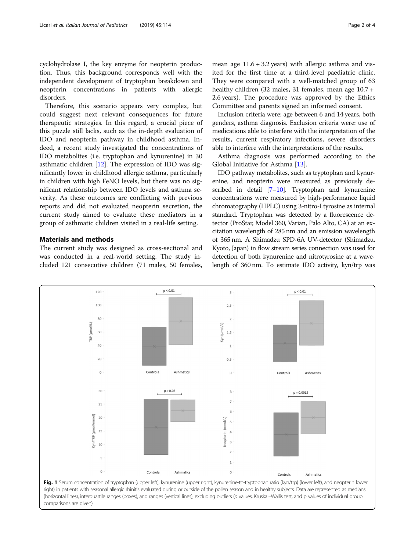<span id="page-1-0"></span>cyclohydrolase I, the key enzyme for neopterin production. Thus, this background corresponds well with the independent development of tryptophan breakdown and neopterin concentrations in patients with allergic disorders.

Therefore, this scenario appears very complex, but could suggest next relevant consequences for future therapeutic strategies. In this regard, a crucial piece of this puzzle still lacks, such as the in-depth evaluation of IDO and neopterin pathway in childhood asthma. Indeed, a recent study investigated the concentrations of IDO metabolites (i.e. tryptophan and kynurenine) in 30 asthmatic children [[12\]](#page-3-0). The expression of IDO was significantly lower in childhood allergic asthma, particularly in children with high FeNO levels, but there was no significant relationship between IDO levels and asthma severity. As these outcomes are conflicting with previous reports and did not evaluated neopterin secretion, the current study aimed to evaluate these mediators in a group of asthmatic children visited in a real-life setting.

# Materials and methods

The current study was designed as cross-sectional and was conducted in a real-world setting. The study included 121 consecutive children (71 males, 50 females,

mean age  $11.6 + 3.2$  years) with allergic asthma and visited for the first time at a third-level paediatric clinic. They were compared with a well-matched group of 63 healthy children (32 males, 31 females, mean age 10.7 + 2.6 years). The procedure was approved by the Ethics Committee and parents signed an informed consent.

Inclusion criteria were: age between 6 and 14 years, both genders, asthma diagnosis. Exclusion criteria were: use of medications able to interfere with the interpretation of the results, current respiratory infections, severe disorders able to interfere with the interpretations of the results.

Asthma diagnosis was performed according to the Global Initiative for Asthma [\[13](#page-3-0)].

IDO pathway metabolites, such as tryptophan and kynurenine, and neopterin were measured as previously described in detail [\[7](#page-3-0)–[10](#page-3-0)]. Tryptophan and kynurenine concentrations were measured by high-performance liquid chromatography (HPLC) using 3-nitro-Ltyrosine as internal standard. Tryptophan was detected by a fluorescence detector (ProStar, Model 360, Varian, Palo Alto, CA) at an excitation wavelength of 285 nm and an emission wavelength of 365 nm. A Shimadzu SPD-6A UV-detector (Shimadzu, Kyoto, Japan) in flow stream series connection was used for detection of both kynurenine and nitrotyrosine at a wavelength of 360 nm. To estimate IDO activity, kyn/trp was

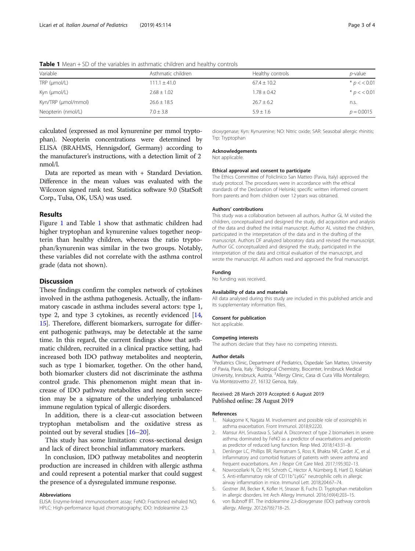| Variable            | Asthmatic children | Healthy controls | <i>p</i> -value |  |
|---------------------|--------------------|------------------|-----------------|--|
| TRP (µmol/L)        | $111.1 \pm 41.0$   | $67.4 \pm 10.2$  | * $p$ < < 0.01  |  |
| Kyn (µmol/L)        | $2.68 \pm 1.02$    | $1.78 \pm 0.42$  | * $p < 0.01$    |  |
| Kyn/TRP (µmol/mmol) | $26.6 \pm 18.5$    | $26.7 \pm 6.2$   | n.s.            |  |
| Neopterin (nmol/L)  | $7.0 + 3.8$        | $5.9 + 1.6$      | $p = 0.0015$    |  |

<span id="page-2-0"></span>**Table 1** Mean  $+$  SD of the variables in asthmatic children and healthy controls

calculated (expressed as mol kynurenine per mmol tryptophan). Neopterin concentrations were determined by ELISA (BRAHMS, Hennigsdorf, Germany) according to the manufacturer's instructions, with a detection limit of 2 nmol/l.

Data are reported as mean with + Standard Deviation. Difference in the mean values was evaluated with the Wilcoxon signed rank test. Statistica software 9.0 (StatSoft Corp., Tulsa, OK, USA) was used.

#### Results

Figure [1](#page-1-0) and Table 1 show that asthmatic children had higher tryptophan and kynurenine values together neopterin than healthy children, whereas the ratio tryptophan/kynurenin was similar in the two groups. Notably, these variables did not correlate with the asthma control grade (data not shown).

#### **Discussion**

These findings confirm the complex network of cytokines involved in the asthma pathogenesis. Actually, the inflammatory cascade in asthma includes several actors: type 1, type 2, and type 3 cytokines, as recently evidenced [[14](#page-3-0), [15](#page-3-0)]. Therefore, different biomarkers, surrogate for different pathogenic pathways, may be detectable at the same time. In this regard, the current findings show that asthmatic children, recruited in a clinical practice setting, had increased both IDO pathway metabolites and neopterin, such as type 1 biomarker, together. On the other hand, both biomarker clusters did not discriminate the asthma control grade. This phenomenon might mean that increase of IDO pathway metabolites and neopterin secretion may be a signature of the underlying unbalanced immune regulation typical of allergic disorders.

In addition, there is a clear-cut association between tryptophan metabolism and the oxidative stress as pointed out by several studies [[16](#page-3-0)–[20](#page-3-0)].

This study has some limitation: cross-sectional design and lack of direct bronchial inflammatory markers.

In conclusion, IDO pathway metabolites and neopterin production are increased in children with allergic asthma and could represent a potential marker that could suggest the presence of a dysregulated immune response.

#### Abbreviations

ELISA: Enzyme-linked immunosorbent assay; FeNO: Fractioned exhaled NO; HPLC: High-performance liquid chromatography; IDO: Indoleamine 2,3-

dioxygenase; Kyn: Kynurenine; NO: Nitric oxide; SAR: Seasobal allergic rhinitis; Trp: Tryptophan

### Acknowledgements

Not applicable.

#### Ethical approval and consent to participate

The Ethics Committee of Policlinico San Matteo (Pavia, Italy) approved the study protocol. The procedures were in accordance with the ethical standards of the Declaration of Helsinki; specific written informed consent from parents and from children over 12 years was obtained.

#### Authors' contributions

This study was a collaboration between all authors. Author GL M visited the children, conceptualized and designed the study, did acquisition and analysis of the data and drafted the initial manuscript. Author AL visited the children, participated in the interpretation of the data and in the drafting of the manuscript. Authors DF analyzed laboratory data and revised the manuscript. Author GC conceptualized and designed the study, participated in the interpretation of the data and critical evaluation of the manuscript, and wrote the manuscript. All authors read and approved the final manuscript.

#### Funding

No funding was received.

#### Availability of data and materials

All data analysed during this study are included in this published article and its supplementary information files.

#### Consent for publication

Not applicable.

#### Competing interests

The authors declare that they have no competing interests.

#### Author details

<sup>1</sup> Pediatrics Clinic, Department of Pediatrics, Ospedale San Matteo, University of Pavia, Pavia, Italy. <sup>2</sup>Biological Chemistry, Biocenter, Innsbruck Medical University, Innsbruck, Austria. <sup>3</sup> Allergy Clinic, Casa di Cura Villa Montallegro, Via Montezovetto 27, 16132 Genoa, Italy.

#### Received: 28 March 2019 Accepted: 6 August 2019 Published online: 28 August 2019

#### References

- 1. Nakagome K, Nagata M. Involvement and possible role of eosinophils in asthma exacerbation. Front Immunol. 2018;9:2220.
- 2. Mansur AH, Srivastava S, Sahal A. Disconnect of type 2 biomarkers in severe asthma; dominated by FeNO as a predictor of exacerbations and periostin as predictor of reduced lung function. Resp Med. 2018;143:31–8.
- Denlinger LC, Phillips BR, Ramratnam S, Ross K, Bhakta NR, Cardet JC, et al. Inflammatory and comorbid features of patients with severe asthma and frequent exacerbations. Am J Respir Crit Care Med. 2017;195:302–13.
- 4. Nowroozilarki N, Öz HH, Schroth C, Hector A, Nürnberg B, Hartl D, Kolahian S. Anti-inflammatory role of CD11b<sup>+</sup>Ly6G<sup>+</sup> neutrophilic cells in allergic airway inflammation in mice. Immunol Lett. 2018;204:67–74.
- 5. Gostner JM, Becker K, Kofler H, Strasser B, Fuchs D. Tryptophan metabolism in allergic disorders. Int Arch Allergy Immunol. 2016;169(4):203–15.
- 6. von Bubnoff BT. The indoleamine 2,3-dioxygenase (IDO) pathway controls allergy. Allergy. 2012;67(6):718–25.